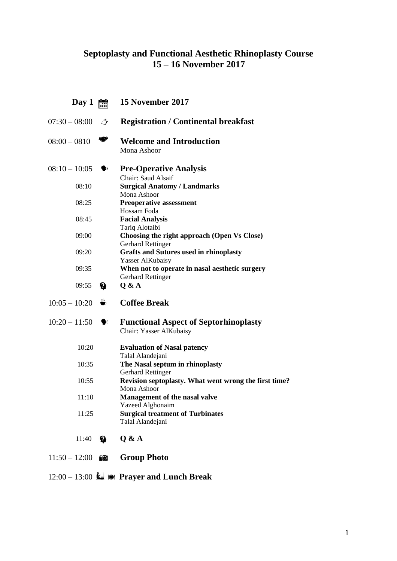## **Septoplasty and Functional Aesthetic Rhinoplasty Course 15 – 16 November 2017**

| Day 1           |               | 15 November 2017                                                           |
|-----------------|---------------|----------------------------------------------------------------------------|
| $07:30 - 08:00$ | $\mathcal{L}$ | <b>Registration / Continental breakfast</b>                                |
| $08:00 - 0810$  |               | <b>Welcome and Introduction</b><br>Mona Ashoor                             |
| $08:10 - 10:05$ | ❤             | <b>Pre-Operative Analysis</b><br>Chair: Saud Alsaif                        |
| 08:10           |               | <b>Surgical Anatomy / Landmarks</b><br>Mona Ashoor                         |
| 08:25           |               | <b>Preoperative assessment</b><br>Hossam Foda                              |
| 08:45           |               | <b>Facial Analysis</b><br>Tariq Alotaibi                                   |
| 09:00           |               | Choosing the right approach (Open Vs Close)<br><b>Gerhard Rettinger</b>    |
| 09:20           |               | <b>Grafts and Sutures used in rhinoplasty</b><br><b>Yasser AlKubaisy</b>   |
| 09:35           |               | When not to operate in nasal aesthetic surgery<br><b>Gerhard Rettinger</b> |
| 09:55           | Ø             | Q & A                                                                      |
| $10:05 - 10:20$ | ₩             | <b>Coffee Break</b>                                                        |
| $10:20-11:50$   |               | <b>Functional Aspect of Septorhinoplasty</b><br>Chair: Yasser AlKubaisy    |
| 10:20           |               | <b>Evaluation of Nasal patency</b><br>Talal Alandejani                     |
| 10:35           |               | The Nasal septum in rhinoplasty<br><b>Gerhard Rettinger</b>                |
| 10:55           |               | Revision septoplasty. What went wrong the first time?<br>Mona Ashoor       |
| 11:10           |               | Management of the nasal valve<br><b>Yazeed Alghonaim</b>                   |
| 11:25           |               | <b>Surgical treatment of Turbinates</b><br>Talal Alandejani                |
| 11:40           | Ø             | Q & A                                                                      |
| $11:50 - 12:00$ | °Ō            | <b>Group Photo</b>                                                         |

## 12:00 – 13:00 **Prayer and Lunch Break**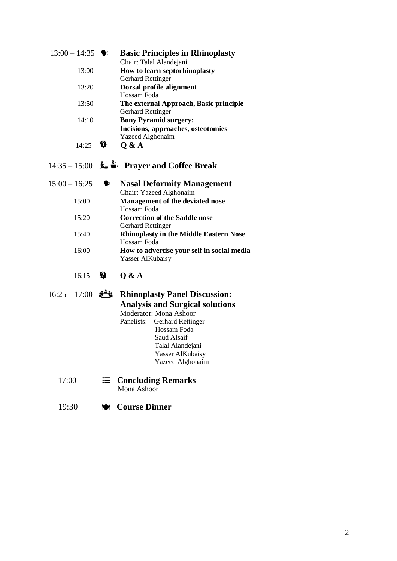| $13:00 - 14:35$ |                       | <b>Basic Principles in Rhinoplasty</b><br>Chair: Talal Alandejani                                                                                                               |
|-----------------|-----------------------|---------------------------------------------------------------------------------------------------------------------------------------------------------------------------------|
| 13:00           |                       | How to learn septorhinoplasty<br><b>Gerhard Rettinger</b>                                                                                                                       |
| 13:20           |                       | Dorsal profile alignment<br>Hossam Foda                                                                                                                                         |
| 13:50           |                       | The external Approach, Basic principle<br><b>Gerhard Rettinger</b>                                                                                                              |
| 14:10           |                       | <b>Bony Pyramid surgery:</b><br>Incisions, approaches, osteotomies                                                                                                              |
| 14:25           | ₩                     | <b>Yazeed Alghonaim</b><br>Q & A                                                                                                                                                |
|                 |                       | 14:35 – 15:00 $\mathbf{k}$ <sup>35</sup> Prayer and Coffee Break                                                                                                                |
| $15:00 - 16:25$ | $\blacktriangleright$ | <b>Nasal Deformity Management</b><br>Chair: Yazeed Alghonaim                                                                                                                    |
| 15:00           |                       | <b>Management of the deviated nose</b><br>Hossam Foda                                                                                                                           |
| 15:20           |                       | <b>Correction of the Saddle nose</b><br><b>Gerhard Rettinger</b>                                                                                                                |
| 15:40           |                       | <b>Rhinoplasty in the Middle Eastern Nose</b><br>Hossam Foda                                                                                                                    |
| 16:00           |                       | How to advertise your self in social media<br>Yasser AlKubaisy                                                                                                                  |
| 16:15           | 始                     | Q & A                                                                                                                                                                           |
| $16:25 - 17:00$ | j"i                   | <b>Rhinoplasty Panel Discussion:</b><br><b>Analysis and Surgical solutions</b><br>Moderator: Mona Ashoor<br>Panelists: Gerhard Rettinger<br>$\mathbf{L}$ ossam $\mathbf{E}$ oda |

- Hossam Foda Saud Alsaif Talal Alandejani Yasser AlKubaisy Yazeed Alghonaim
- 17:00 **Concluding Remarks** Mona Ashoor
	- 19:30 **Course Dinner**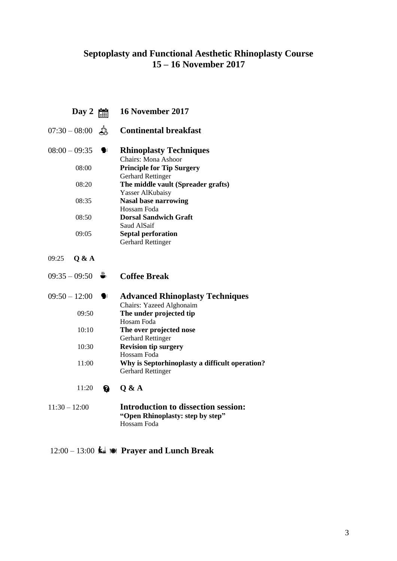## **Septoplasty and Functional Aesthetic Rhinoplasty Course 15 – 16 November 2017**

**Day 2 16 November 2017** 07:30 – 08:00 <del>Å</del> Continental breakfast 08:00 – 09:35 **Rhinoplasty Techniques** Chairs: Mona Ashoor 08:00 **Principle for Tip Surgery** Gerhard Rettinger 08:20 **The middle vault (Spreader grafts)** Yasser AlKubaisy 08:35 **Nasal base narrowing** Hossam Foda 08:50 **Dorsal Sandwich Graft** Saud AlSaif 09:05 **Septal perforation** Gerhard Rettinger 09:25 **Q & A** 09:35 – 09:50 **↓** Coffee Break 09:50 – 12:00 **Advanced Rhinoplasty Techniques** Chairs: Yazeed Alghonaim 09:50 **The under projected tip** Hosam Foda 10:10 **The over projected nose** Gerhard Rettinger 10:30 **Revision tip surgery** Hossam Foda 11:00 **Why is Septorhinoplasty a difficult operation?** Gerhard Rettinger 11:20 **Q & A** 11:30 – 12:00 **Introduction to dissection session: "Open Rhinoplasty: step by step"** Hossam Foda

## 12:00 – 13:00 **Prayer and Lunch Break**